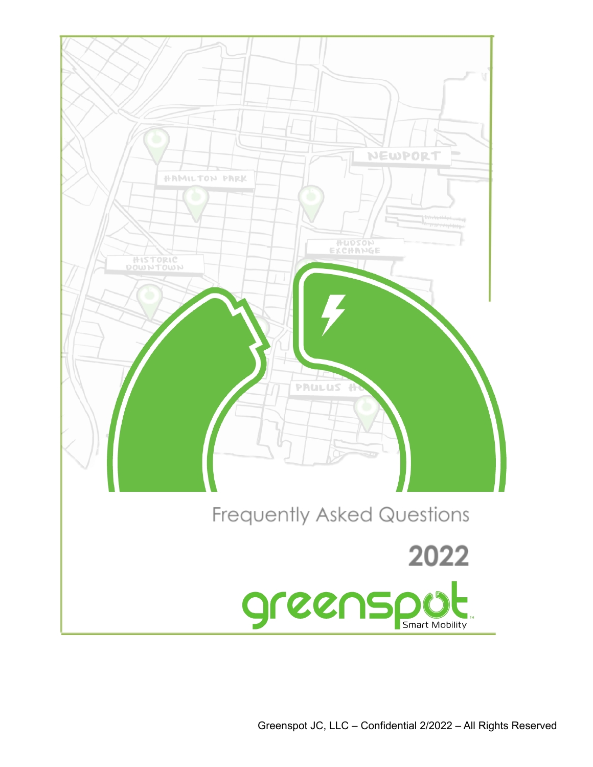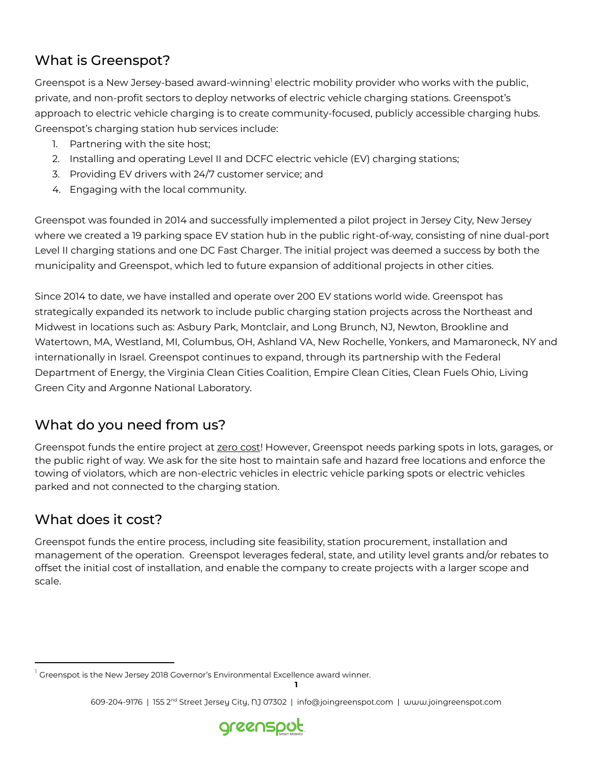# What is Greenspot?

Greenspot is a New Jersey-based award-winning<sup>1</sup> electric mobility provider who works with the public, private, and non-profit sectors to deploy networks of electric vehicle charging stations. Greenspot's approach to electric vehicle charging is to create community-focused, publicly accessible charging hubs. Greenspot's charging station hub services include:

- 1. Partnering with the site host;
- 2. Installing and operating Level II and DCFC electric vehicle (EV) charging stations;
- 3. Providing EV drivers with 24/7 customer service; and
- 4. Engaging with the local community.

Greenspot was founded in 2014 and successfully implemented a pilot project in Jersey City, New Jersey where we created a 19 parking space EV station hub in the public right-of-way, consisting of nine dual-port Level II charging stations and one DC Fast Charger. The initial project was deemed a success by both the municipality and Greenspot, which led to future expansion of additional projects in other cities.

Since 2014 to date, we have installed and operate over 200 EV stations world wide. Greenspot has strategically expanded its network to include public charging station projects across the Northeast and Midwest in locations such as: Asbury Park, Montclair, and Long Brunch, NJ, Newton, Brookline and Watertown, MA, Westland, MI, Columbus, OH, Ashland VA, New Rochelle, Yonkers, and Mamaroneck, NY and internationally in Israel. Greenspot continues to expand, through its partnership with the Federal Department of Energy, the Virginia Clean Cities Coalition, Empire Clean Cities, Clean Fuels Ohio, Living Green City and Argonne National Laboratory.

### What do you need from us?

Greenspot funds the entire project at zero cost! However, Greenspot needs parking spots in lots, garages, or the public right of way. We ask for the site host to maintain safe and hazard free locations and enforce the towing of violators, which are non-electric vehicles in electric vehicle parking spots or electric vehicles parked and not connected to the charging station.

### What does it cost?

Greenspot funds the entire process, including site feasibility, station procurement, installation and management of the operation. Greenspot leverages federal, state, and utility level grants and/or rebates to offset the initial cost of installation, and enable the company to create projects with a larger scope and scale.

**<sup>1</sup>** 609-204-9176 | 155 2ʰª Street Jersey City, Ŋ 07302 | info@joingreenspot.com | աաա.joingreenspot.com



 $^{\mathrm{1}}$  Greenspot is the New Jersey 2018 Governor's Environmental Excellence award winner.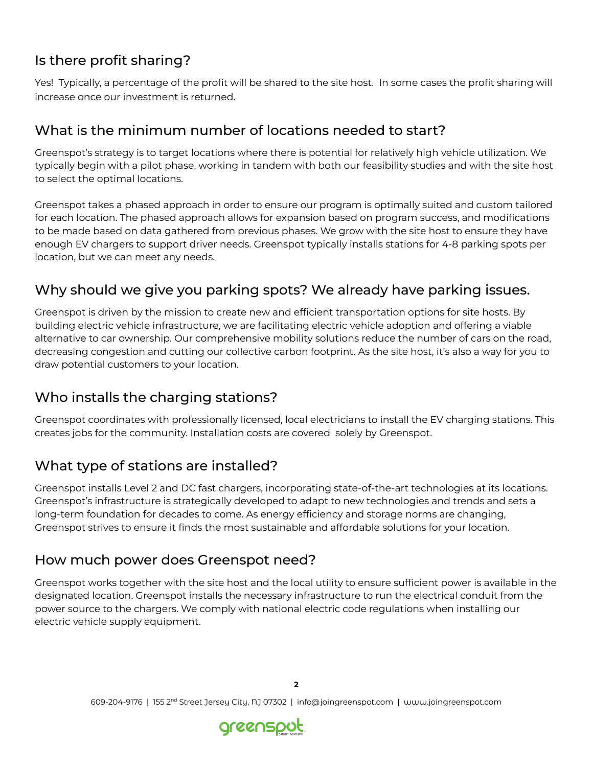## Is there profit sharing?

Yes! Typically, a percentage of the profit will be shared to the site host. In some cases the profit sharing will increase once our investment is returned.

#### What is the minimum number of locations needed to start?

Greenspot's strategy is to target locations where there is potential for relatively high vehicle utilization. We typically begin with a pilot phase, working in tandem with both our feasibility studies and with the site host to select the optimal locations.

Greenspot takes a phased approach in order to ensure our program is optimally suited and custom tailored for each location. The phased approach allows for expansion based on program success, and modifications to be made based on data gathered from previous phases. We grow with the site host to ensure they have enough EV chargers to support driver needs. Greenspot typically installs stations for 4-8 parking spots per location, but we can meet any needs.

# Why should we give you parking spots? We already have parking issues.

Greenspot is driven by the mission to create new and efficient transportation options for site hosts. By building electric vehicle infrastructure, we are facilitating electric vehicle adoption and offering a viable alternative to car ownership. Our comprehensive mobility solutions reduce the number of cars on the road, decreasing congestion and cutting our collective carbon footprint. As the site host, it's also a way for you to draw potential customers to your location.

### Who installs the charging stations?

Greenspot coordinates with professionally licensed, local electricians to install the EV charging stations. This creates jobs for the community. Installation costs are covered solely by Greenspot.

### What type of stations are installed?

Greenspot installs Level 2 and DC fast chargers, incorporating state-of-the-art technologies at its locations. Greenspot's infrastructure is strategically developed to adapt to new technologies and trends and sets a long-term foundation for decades to come. As energy efficiency and storage norms are changing, Greenspot strives to ensure it finds the most sustainable and affordable solutions for your location.

### How much power does Greenspot need?

Greenspot works together with the site host and the local utility to ensure sufficient power is available in the designated location. Greenspot installs the necessary infrastructure to run the electrical conduit from the power source to the chargers. We comply with national electric code regulations when installing our electric vehicle supply equipment.